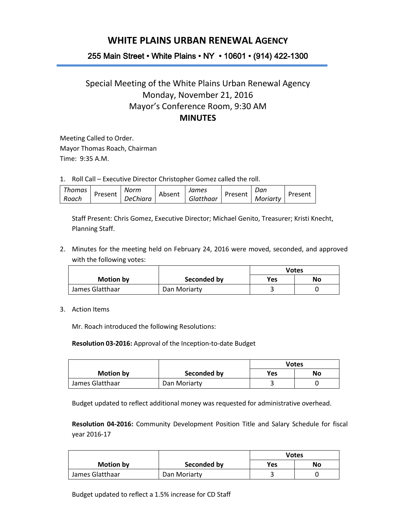## **WHITE PLAINS URBAN RENEWAL AGENCY**

## 255 Main Street • White Plains • NY • 10601 • (914) 422-1300

## Special Meeting of the White Plains Urban Renewal Agency Monday, November 21, 2016 Mayor's Conference Room, 9:30 AM **MINUTES**

Meeting Called to Order. Mayor Thomas Roach, Chairman Time: 9:35 A.M.

1. Roll Call – Executive Director Christopher Gomez called the roll.

| Thomas |         | Norm            |        | James     |         | Dan      |         |
|--------|---------|-----------------|--------|-----------|---------|----------|---------|
| Roach  | Present | <b>DeChiara</b> | Absent | Glatthaar | Present | Moriarty | Present |

Staff Present: Chris Gomez, Executive Director; Michael Genito, Treasurer; Kristi Knecht, Planning Staff.

2. Minutes for the meeting held on February 24, 2016 were moved, seconded, and approved with the following votes:

|                  |              | <b>Votes</b> |    |
|------------------|--------------|--------------|----|
| <b>Motion by</b> | Seconded by  | <b>Yes</b>   | No |
| James Glatthaar  | Dan Moriarty |              |    |

3. Action Items

Mr. Roach introduced the following Resolutions:

**Resolution 03-2016:** Approval of the Inception-to-date Budget

|                  |              | <b>Votes</b> |    |
|------------------|--------------|--------------|----|
| <b>Motion by</b> | Seconded by  | Yes          | No |
| James Glatthaar  | Dan Moriarty |              |    |

Budget updated to reflect additional money was requested for administrative overhead.

**Resolution 04-2016:** Community Development Position Title and Salary Schedule for fiscal year 2016-17

|                  |              | <b>Votes</b> |    |
|------------------|--------------|--------------|----|
| <b>Motion by</b> | Seconded by  | Yes          | No |
| James Glatthaar  | Dan Moriarty |              |    |